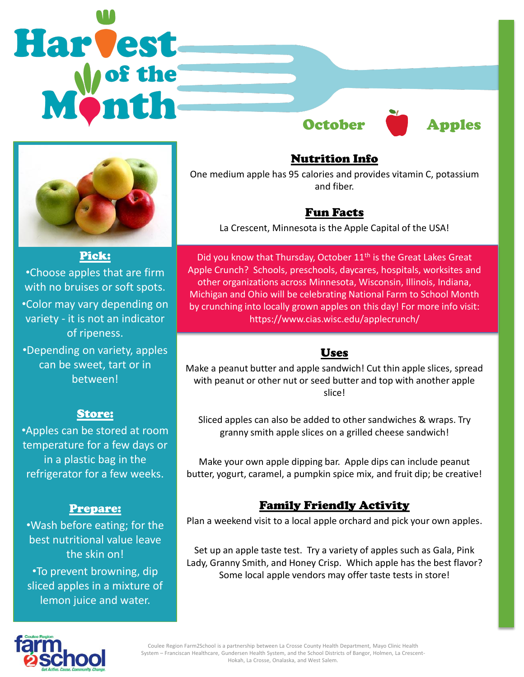



#### Pick:

•Choose apples that are firm with no bruises or soft spots. •Color may vary depending on variety - it is not an indicator of ripeness.

•Depending on variety, apples can be sweet, tart or in between!

#### Store:

•Apples can be stored at room temperature for a few days or in a plastic bag in the refrigerator for a few weeks.

#### Prepare:

•Wash before eating; for the best nutritional value leave the skin on! •To prevent browning, dip sliced apples in a mixture of lemon juice and water.

Nutrition Info

One medium apple has 95 calories and provides vitamin C, potassium and fiber.

## Fun Facts

La Crescent, Minnesota is the Apple Capital of the USA!

Did you know that Thursday, October 11<sup>th</sup> is the Great Lakes Great Apple Crunch? Schools, preschools, daycares, hospitals, worksites and other organizations across Minnesota, Wisconsin, Illinois, Indiana, Michigan and Ohio will be celebrating National Farm to School Month by crunching into locally grown apples on this day! For more info visit: https://www.cias.wisc.edu/applecrunch/

### Uses

Make a peanut butter and apple sandwich! Cut thin apple slices, spread with peanut or other nut or seed butter and top with another apple slice!

Sliced apples can also be added to other sandwiches & wraps. Try granny smith apple slices on a grilled cheese sandwich!

Make your own apple dipping bar. Apple dips can include peanut butter, yogurt, caramel, a pumpkin spice mix, and fruit dip; be creative!

## Family Friendly Activity

Plan a weekend visit to a local apple orchard and pick your own apples.

Set up an apple taste test. Try a variety of apples such as Gala, Pink Lady, Granny Smith, and Honey Crisp. Which apple has the best flavor? Some local apple vendors may offer taste tests in store!